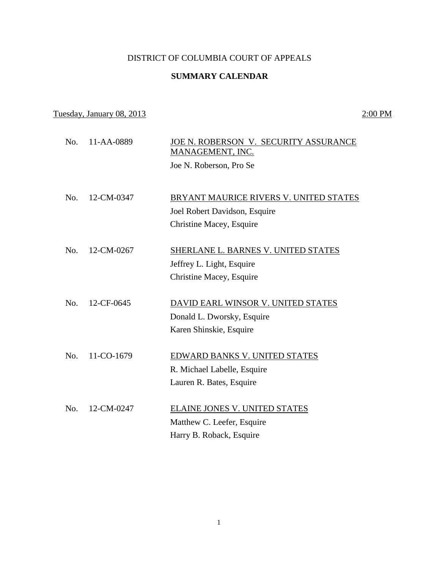## DISTRICT OF COLUMBIA COURT OF APPEALS

# **SUMMARY CALENDAR**

## Tuesday, January 08, 2013 2:00 PM

No. 11-AA-0889 JOE N. ROBERSON V. SECURITY ASSURANCE MANAGEMENT, INC. Joe N. Roberson, Pro Se No. 12-CM-0347 BRYANT MAURICE RIVERS V. UNITED STATES Joel Robert Davidson, Esquire Christine Macey, Esquire No. 12-CM-0267 SHERLANE L. BARNES V. UNITED STATES Jeffrey L. Light, Esquire Christine Macey, Esquire No. 12-CF-0645 DAVID EARL WINSOR V. UNITED STATES Donald L. Dworsky, Esquire Karen Shinskie, Esquire No. 11-CO-1679 EDWARD BANKS V. UNITED STATES R. Michael Labelle, Esquire Lauren R. Bates, Esquire No. 12-CM-0247 ELAINE JONES V. UNITED STATES Matthew C. Leefer, Esquire Harry B. Roback, Esquire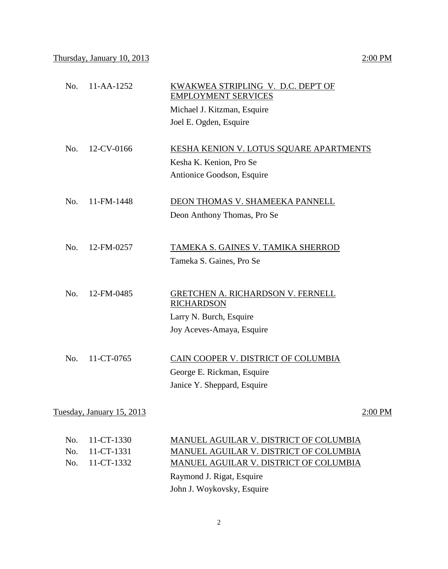# No. 11-AA-1252 KWAKWEA STRIPLING V. D.C. DEP'T OF EMPLOYMENT SERVICES Michael J. Kitzman, Esquire Joel E. Ogden, Esquire No. 12-CV-0166 KESHA KENION V. LOTUS SQUARE APARTMENTS Kesha K. Kenion, Pro Se Antionice Goodson, Esquire No. 11-FM-1448 DEON THOMAS V. SHAMEEKA PANNELL Deon Anthony Thomas, Pro Se No. 12-FM-0257 TAMEKA S. GAINES V. TAMIKA SHERROD Tameka S. Gaines, Pro Se No. 12-FM-0485 GRETCHEN A. RICHARDSON V. FERNELL **RICHARDSON** Larry N. Burch, Esquire Joy Aceves-Amaya, Esquire No. 11-CT-0765 CAIN COOPER V. DISTRICT OF COLUMBIA

George E. Rickman, Esquire Janice Y. Sheppard, Esquire

Tuesday, January  $15, 2013$   $2:00 \text{ PM}$ 

| No. 11-CT-1330 | MANUEL AGUILAR V. DISTRICT OF COLUMBIA |
|----------------|----------------------------------------|
| No. 11-CT-1331 | MANUEL AGUILAR V. DISTRICT OF COLUMBIA |
| No. 11-CT-1332 | MANUEL AGUILAR V. DISTRICT OF COLUMBIA |
|                | Raymond J. Rigat, Esquire              |
|                | John J. Woykovsky, Esquire             |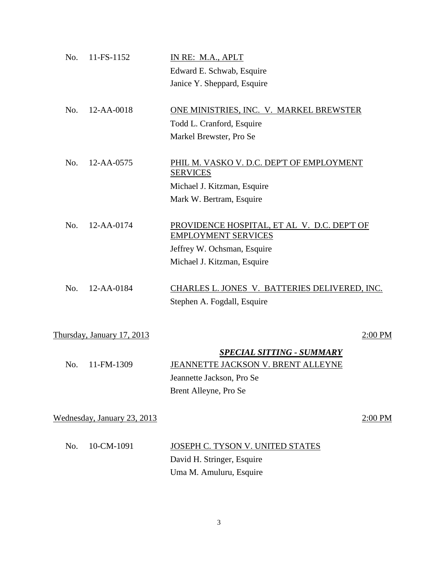| No. | 11-FS-1152                  | IN RE: M.A., APLT                                                         |           |
|-----|-----------------------------|---------------------------------------------------------------------------|-----------|
|     |                             | Edward E. Schwab, Esquire                                                 |           |
|     |                             | Janice Y. Sheppard, Esquire                                               |           |
| No. | 12-AA-0018                  | ONE MINISTRIES, INC. V. MARKEL BREWSTER                                   |           |
|     |                             | Todd L. Cranford, Esquire                                                 |           |
|     |                             | Markel Brewster, Pro Se                                                   |           |
| No. | 12-AA-0575                  | PHIL M. VASKO V. D.C. DEP'T OF EMPLOYMENT                                 |           |
|     |                             | <b>SERVICES</b>                                                           |           |
|     |                             | Michael J. Kitzman, Esquire                                               |           |
|     |                             | Mark W. Bertram, Esquire                                                  |           |
| No. | 12-AA-0174                  | PROVIDENCE HOSPITAL, ET AL V. D.C. DEP'T OF<br><b>EMPLOYMENT SERVICES</b> |           |
|     |                             | Jeffrey W. Ochsman, Esquire                                               |           |
|     |                             | Michael J. Kitzman, Esquire                                               |           |
| No. | 12-AA-0184                  | CHARLES L. JONES V. BATTERIES DELIVERED, INC.                             |           |
|     |                             | Stephen A. Fogdall, Esquire                                               |           |
|     |                             |                                                                           |           |
|     | Thursday, January 17, 2013  |                                                                           | $2:00$ PM |
|     |                             | <b>SPECIAL SITTING - SUMMARY</b>                                          |           |
| No. | 11-FM-1309                  | JEANNETTE JACKSON V. BRENT ALLEYNE                                        |           |
|     |                             | Jeannette Jackson, Pro Se                                                 |           |
|     |                             | Brent Alleyne, Pro Se                                                     |           |
|     | Wednesday, January 23, 2013 |                                                                           | $2:00$ PM |
| No. | 10-CM-1091                  | JOSEPH C. TYSON V. UNITED STATES                                          |           |
|     |                             | David H. Stringer, Esquire                                                |           |
|     |                             | Uma M. Amuluru, Esquire                                                   |           |
|     |                             |                                                                           |           |

3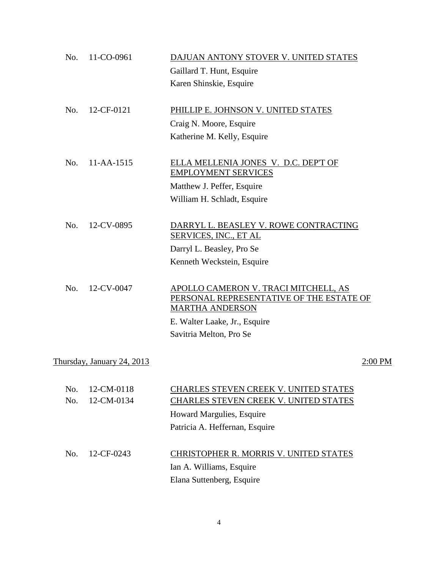| No.        | 11-CO-0961                 | DAJUAN ANTONY STOVER V. UNITED STATES                                                                      |         |
|------------|----------------------------|------------------------------------------------------------------------------------------------------------|---------|
|            |                            | Gaillard T. Hunt, Esquire                                                                                  |         |
|            |                            | Karen Shinskie, Esquire                                                                                    |         |
| No.        | 12-CF-0121                 | PHILLIP E. JOHNSON V. UNITED STATES                                                                        |         |
|            |                            | Craig N. Moore, Esquire                                                                                    |         |
|            |                            | Katherine M. Kelly, Esquire                                                                                |         |
| No.        | 11-AA-1515                 | ELLA MELLENIA JONES V. D.C. DEP'T OF<br><b>EMPLOYMENT SERVICES</b>                                         |         |
|            |                            | Matthew J. Peffer, Esquire                                                                                 |         |
|            |                            | William H. Schladt, Esquire                                                                                |         |
| No.        | 12-CV-0895                 | DARRYL L. BEASLEY V. ROWE CONTRACTING<br>SERVICES, INC., ET AL                                             |         |
|            |                            | Darryl L. Beasley, Pro Se                                                                                  |         |
|            |                            | Kenneth Weckstein, Esquire                                                                                 |         |
| No.        | 12-CV-0047                 | APOLLO CAMERON V. TRACI MITCHELL, AS<br>PERSONAL REPRESENTATIVE OF THE ESTATE OF<br><b>MARTHA ANDERSON</b> |         |
|            |                            | E. Walter Laake, Jr., Esquire                                                                              |         |
|            |                            | Savitria Melton, Pro Se                                                                                    |         |
|            | Thursday, January 24, 2013 |                                                                                                            | 2:00 PM |
| No.<br>No. | 12-CM-0118<br>12-CM-0134   | CHARLES STEVEN CREEK V. UNITED STATES<br>CHARLES STEVEN CREEK V. UNITED STATES                             |         |
|            |                            | Howard Margulies, Esquire                                                                                  |         |
|            |                            | Patricia A. Heffernan, Esquire                                                                             |         |
| No.        | 12-CF-0243                 | <b>CHRISTOPHER R. MORRIS V. UNITED STATES</b>                                                              |         |
|            |                            | Ian A. Williams, Esquire                                                                                   |         |

Elana Suttenberg, Esquire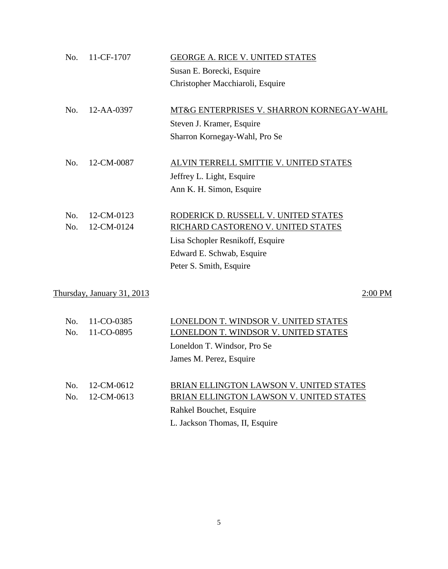| No. | 11-CF-1707                 | GEORGE A. RICE V. UNITED STATES           |         |
|-----|----------------------------|-------------------------------------------|---------|
|     |                            | Susan E. Borecki, Esquire                 |         |
|     |                            | Christopher Macchiaroli, Esquire          |         |
|     |                            |                                           |         |
| No. | $12 - AA - 0397$           | MT&G ENTERPRISES V. SHARRON KORNEGAY-WAHL |         |
|     |                            | Steven J. Kramer, Esquire                 |         |
|     |                            | Sharron Kornegay-Wahl, Pro Se             |         |
|     |                            |                                           |         |
| No. | 12-CM-0087                 | ALVIN TERRELL SMITTIE V. UNITED STATES    |         |
|     |                            | Jeffrey L. Light, Esquire                 |         |
|     |                            | Ann K. H. Simon, Esquire                  |         |
|     |                            |                                           |         |
| No. | 12-CM-0123                 | RODERICK D. RUSSELL V. UNITED STATES      |         |
| No. | 12-CM-0124                 | RICHARD CASTORENO V. UNITED STATES        |         |
|     |                            | Lisa Schopler Resnikoff, Esquire          |         |
|     |                            | Edward E. Schwab, Esquire                 |         |
|     |                            | Peter S. Smith, Esquire                   |         |
|     |                            |                                           |         |
|     | Thursday, January 31, 2013 |                                           | 2:00 PM |
|     |                            |                                           |         |
|     |                            |                                           |         |

| No. | 11-CO-0385 | LONELDON T. WINDSOR V. UNITED STATES    |
|-----|------------|-----------------------------------------|
| No. | 11-CO-0895 | LONELDON T. WINDSOR V. UNITED STATES    |
|     |            | Loneldon T. Windsor, Pro Se             |
|     |            | James M. Perez, Esquire                 |
|     |            |                                         |
| No. | 12-CM-0612 | BRIAN ELLINGTON LAWSON V. UNITED STATES |
| No. | 12-CM-0613 | BRIAN ELLINGTON LAWSON V. UNITED STATES |
|     |            | Rahkel Bouchet, Esquire                 |
|     |            | L. Jackson Thomas, II, Esquire          |